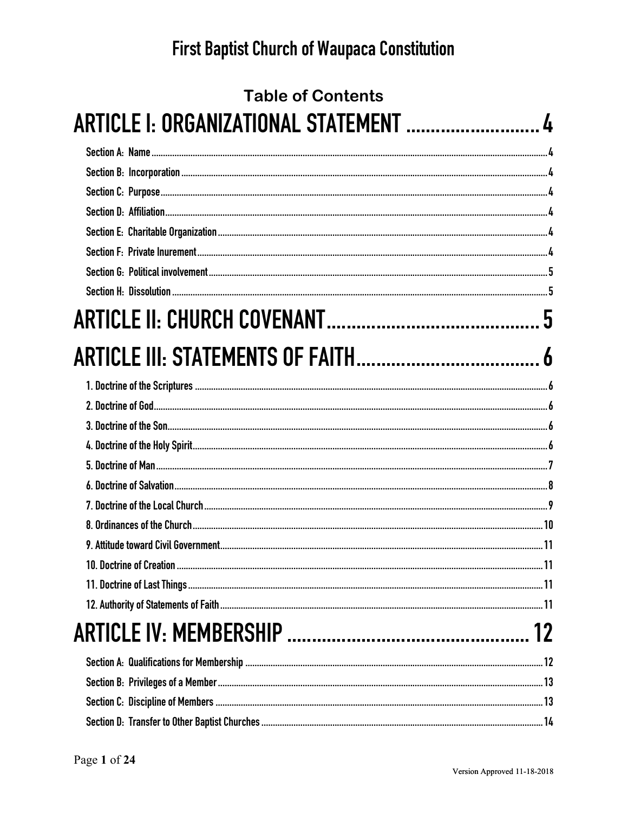| <b>Table of Contents</b>               |    |
|----------------------------------------|----|
| ARTICLE I: ORGANIZATIONAL STATEMENT  4 |    |
|                                        |    |
|                                        |    |
|                                        |    |
|                                        |    |
|                                        |    |
|                                        |    |
|                                        |    |
|                                        |    |
|                                        |    |
|                                        |    |
|                                        |    |
|                                        |    |
|                                        |    |
|                                        |    |
|                                        |    |
|                                        |    |
|                                        |    |
|                                        |    |
|                                        |    |
|                                        |    |
|                                        |    |
|                                        |    |
|                                        | 12 |
|                                        |    |
|                                        |    |
|                                        |    |
|                                        |    |
|                                        |    |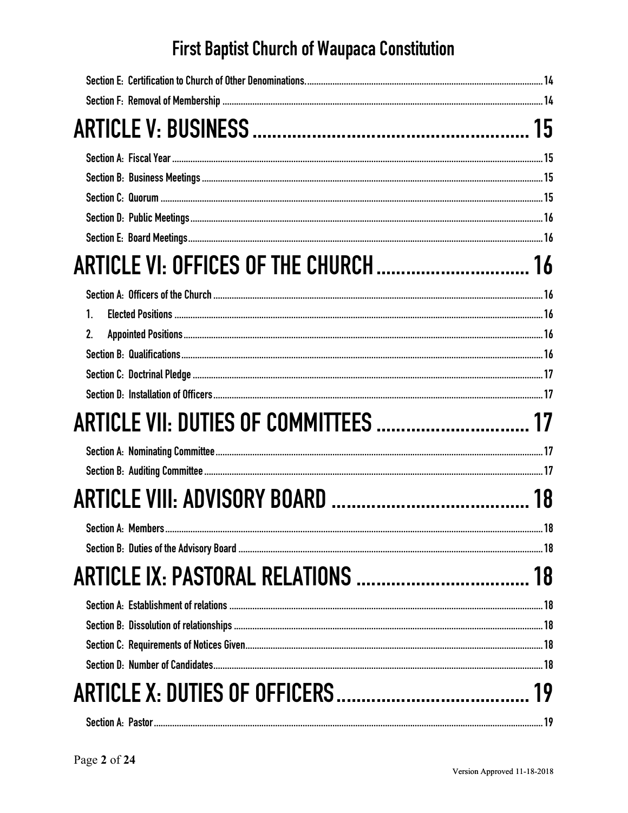| ARTICLE VI: OFFICES OF THE CHURCH  16     |    |
|-------------------------------------------|----|
|                                           |    |
| $\mathbf{1}$                              |    |
| 2.                                        |    |
|                                           |    |
|                                           |    |
|                                           |    |
| ARTICLE VII: DUTIES OF COMMITTEES  17     |    |
|                                           |    |
|                                           |    |
|                                           | 18 |
| <b>Section A: Members</b>                 | 18 |
|                                           |    |
| <b>ARTICLE IX: PASTORAL RELATIONS  18</b> |    |
|                                           |    |
|                                           |    |
|                                           |    |
|                                           |    |
|                                           |    |
|                                           |    |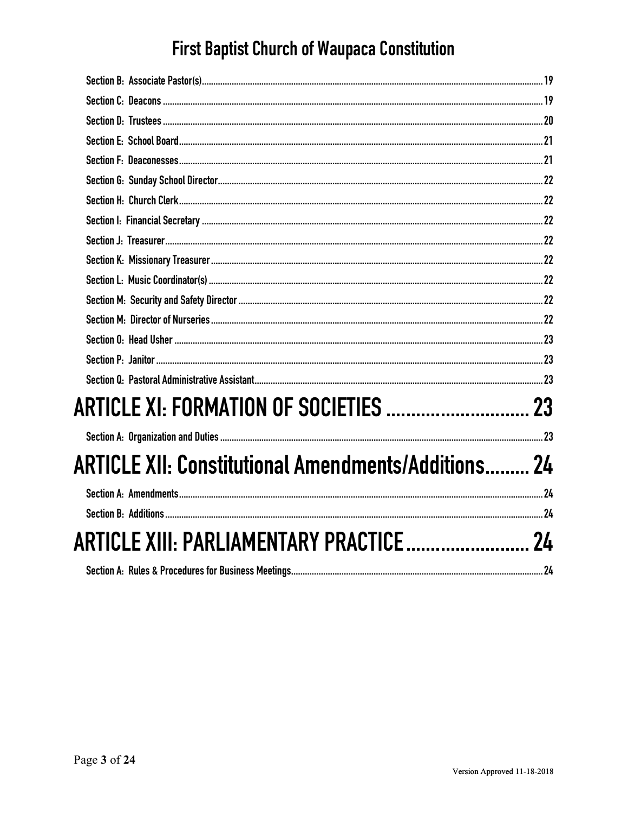| <b>ARTICLE XII: Constitutional Amendments/Additions 24</b> |  |
|------------------------------------------------------------|--|
|                                                            |  |
|                                                            |  |
| ARTICLE XIII: PARLIAMENTARY PRACTICE 24                    |  |
|                                                            |  |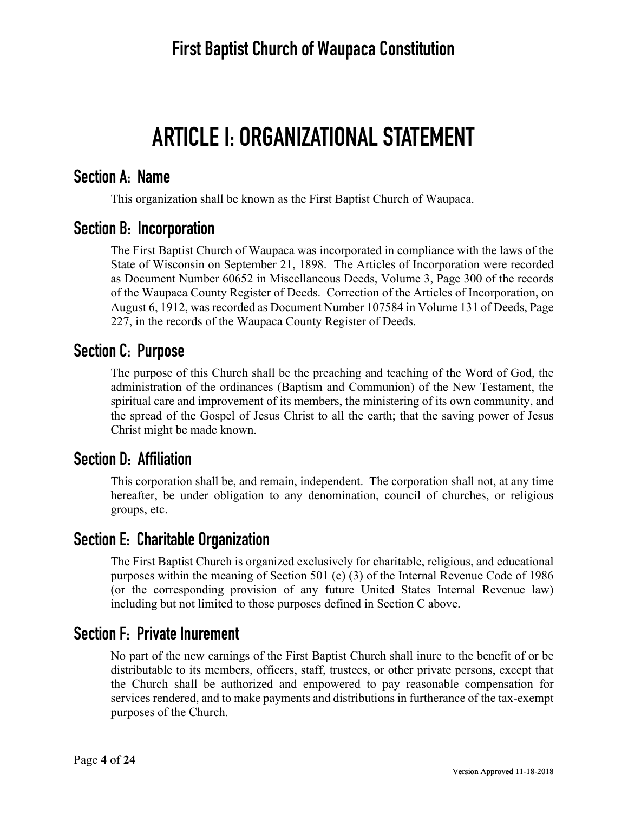# **ARTICLE I: ORGANIZATIONAL STATEMENT**

#### **Section A: Name**

This organization shall be known as the First Baptist Church of Waupaca.

### **Section B: Incorporation**

The First Baptist Church of Waupaca was incorporated in compliance with the laws of the State of Wisconsin on September 21, 1898. The Articles of Incorporation were recorded as Document Number 60652 in Miscellaneous Deeds, Volume 3, Page 300 of the records of the Waupaca County Register of Deeds. Correction of the Articles of Incorporation, on August 6, 1912, was recorded as Document Number 107584 in Volume 131 of Deeds, Page 227, in the records of the Waupaca County Register of Deeds.

### **Section C: Purpose**

The purpose of this Church shall be the preaching and teaching of the Word of God, the administration of the ordinances (Baptism and Communion) of the New Testament, the spiritual care and improvement of its members, the ministering of its own community, and the spread of the Gospel of Jesus Christ to all the earth; that the saving power of Jesus Christ might be made known.

### **Section D: Affiliation**

This corporation shall be, and remain, independent. The corporation shall not, at any time hereafter, be under obligation to any denomination, council of churches, or religious groups, etc.

### **Section E: Charitable Organization**

The First Baptist Church is organized exclusively for charitable, religious, and educational purposes within the meaning of Section 501 (c) (3) of the Internal Revenue Code of 1986 (or the corresponding provision of any future United States Internal Revenue law) including but not limited to those purposes defined in Section C above.

### **Section F: Private Inurement**

No part of the new earnings of the First Baptist Church shall inure to the benefit of or be distributable to its members, officers, staff, trustees, or other private persons, except that the Church shall be authorized and empowered to pay reasonable compensation for services rendered, and to make payments and distributions in furtherance of the tax-exempt purposes of the Church.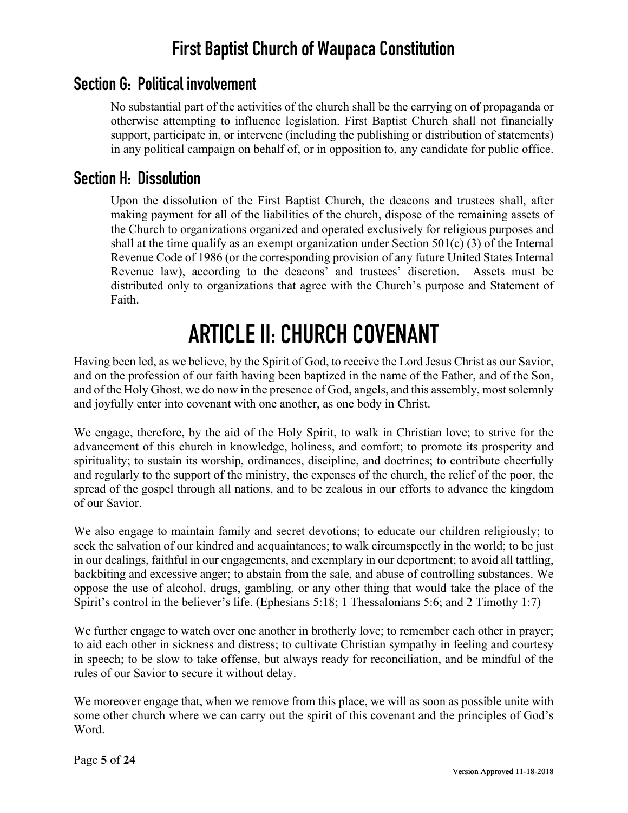### **Section G: Political involvement**

No substantial part of the activities of the church shall be the carrying on of propaganda or otherwise attempting to influence legislation. First Baptist Church shall not financially support, participate in, or intervene (including the publishing or distribution of statements) in any political campaign on behalf of, or in opposition to, any candidate for public office.

#### **Section H: Dissolution**

Upon the dissolution of the First Baptist Church, the deacons and trustees shall, after making payment for all of the liabilities of the church, dispose of the remaining assets of the Church to organizations organized and operated exclusively for religious purposes and shall at the time qualify as an exempt organization under Section 501(c) (3) of the Internal Revenue Code of 1986 (or the corresponding provision of any future United States Internal Revenue law), according to the deacons' and trustees' discretion. Assets must be distributed only to organizations that agree with the Church's purpose and Statement of Faith.

# **ARTICLE II: CHURCH COVENANT**

Having been led, as we believe, by the Spirit of God, to receive the Lord Jesus Christ as our Savior, and on the profession of our faith having been baptized in the name of the Father, and of the Son, and of the Holy Ghost, we do now in the presence of God, angels, and this assembly, most solemnly and joyfully enter into covenant with one another, as one body in Christ.

We engage, therefore, by the aid of the Holy Spirit, to walk in Christian love; to strive for the advancement of this church in knowledge, holiness, and comfort; to promote its prosperity and spirituality; to sustain its worship, ordinances, discipline, and doctrines; to contribute cheerfully and regularly to the support of the ministry, the expenses of the church, the relief of the poor, the spread of the gospel through all nations, and to be zealous in our efforts to advance the kingdom of our Savior.

We also engage to maintain family and secret devotions; to educate our children religiously; to seek the salvation of our kindred and acquaintances; to walk circumspectly in the world; to be just in our dealings, faithful in our engagements, and exemplary in our deportment; to avoid all tattling, backbiting and excessive anger; to abstain from the sale, and abuse of controlling substances. We oppose the use of alcohol, drugs, gambling, or any other thing that would take the place of the Spirit's control in the believer's life. (Ephesians 5:18; 1 Thessalonians 5:6; and 2 Timothy 1:7)

We further engage to watch over one another in brotherly love; to remember each other in prayer; to aid each other in sickness and distress; to cultivate Christian sympathy in feeling and courtesy in speech; to be slow to take offense, but always ready for reconciliation, and be mindful of the rules of our Savior to secure it without delay.

We moreover engage that, when we remove from this place, we will as soon as possible unite with some other church where we can carry out the spirit of this covenant and the principles of God's Word.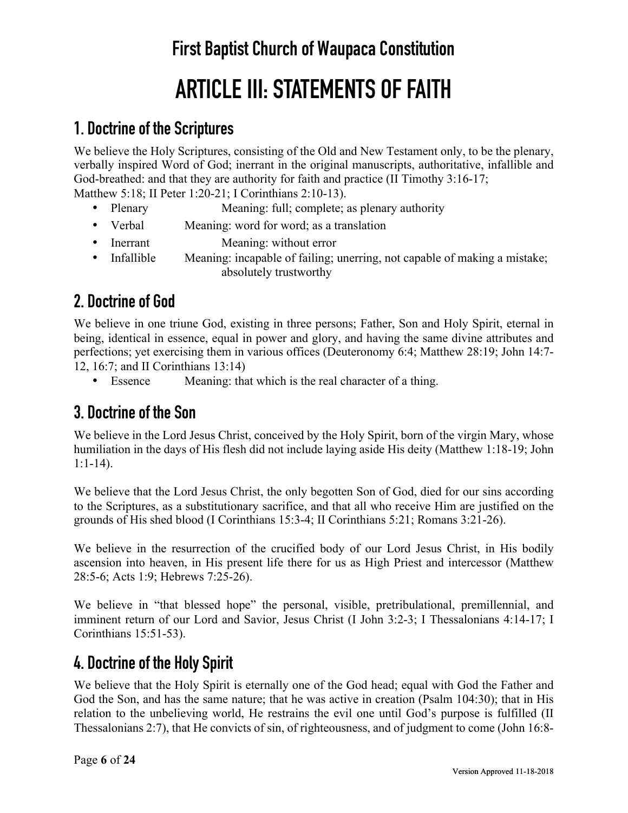# **ARTICLE III: STATEMENTS OF FAITH**

## **1. Doctrine of the Scriptures**

We believe the Holy Scriptures, consisting of the Old and New Testament only, to be the plenary, verbally inspired Word of God; inerrant in the original manuscripts, authoritative, infallible and God-breathed: and that they are authority for faith and practice (II Timothy 3:16-17; Matthew 5:18; II Peter 1:20-21; I Corinthians 2:10-13).

- Plenary Meaning: full; complete; as plenary authority
- Verbal Meaning: word for word; as a translation
- Inerrant Meaning: without error
- Infallible Meaning: incapable of failing; unerring, not capable of making a mistake; absolutely trustworthy

## **2. Doctrine of God**

We believe in one triune God, existing in three persons; Father, Son and Holy Spirit, eternal in being, identical in essence, equal in power and glory, and having the same divine attributes and perfections; yet exercising them in various offices (Deuteronomy 6:4; Matthew 28:19; John 14:7- 12, 16:7; and II Corinthians 13:14)

• Essence Meaning: that which is the real character of a thing.

## **3. Doctrine of the Son**

We believe in the Lord Jesus Christ, conceived by the Holy Spirit, born of the virgin Mary, whose humiliation in the days of His flesh did not include laying aside His deity (Matthew 1:18-19; John 1:1-14).

We believe that the Lord Jesus Christ, the only begotten Son of God, died for our sins according to the Scriptures, as a substitutionary sacrifice, and that all who receive Him are justified on the grounds of His shed blood (I Corinthians 15:3-4; II Corinthians 5:21; Romans 3:21-26).

We believe in the resurrection of the crucified body of our Lord Jesus Christ, in His bodily ascension into heaven, in His present life there for us as High Priest and intercessor (Matthew 28:5-6; Acts 1:9; Hebrews 7:25-26).

We believe in "that blessed hope" the personal, visible, pretribulational, premillennial, and imminent return of our Lord and Savior, Jesus Christ (I John 3:2-3; I Thessalonians 4:14-17; I Corinthians 15:51-53).

## **4. Doctrine of the Holy Spirit**

We believe that the Holy Spirit is eternally one of the God head; equal with God the Father and God the Son, and has the same nature; that he was active in creation (Psalm 104:30); that in His relation to the unbelieving world, He restrains the evil one until God's purpose is fulfilled (II Thessalonians 2:7), that He convicts of sin, of righteousness, and of judgment to come (John 16:8-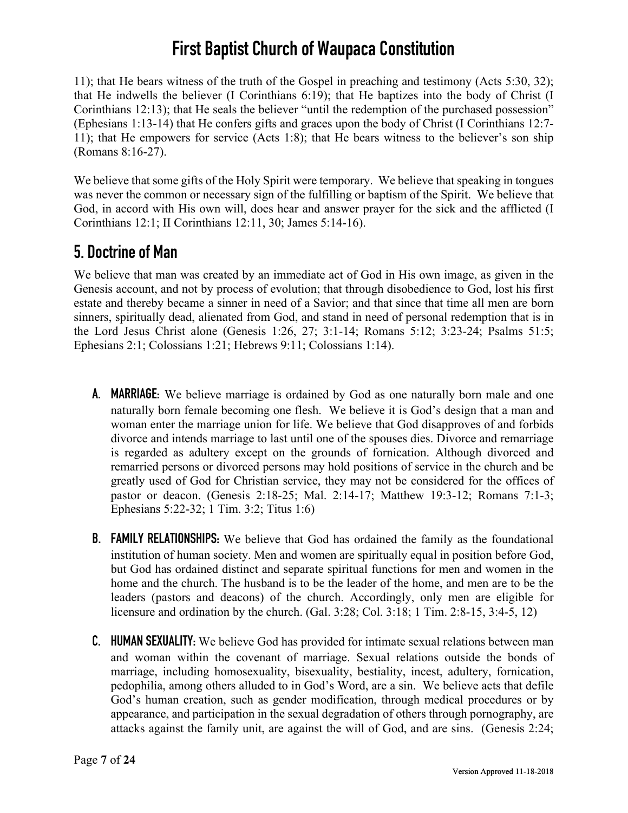11); that He bears witness of the truth of the Gospel in preaching and testimony (Acts 5:30, 32); that He indwells the believer (I Corinthians 6:19); that He baptizes into the body of Christ (I Corinthians 12:13); that He seals the believer "until the redemption of the purchased possession" (Ephesians 1:13-14) that He confers gifts and graces upon the body of Christ (I Corinthians 12:7- 11); that He empowers for service (Acts 1:8); that He bears witness to the believer's son ship (Romans 8:16-27).

We believe that some gifts of the Holy Spirit were temporary. We believe that speaking in tongues was never the common or necessary sign of the fulfilling or baptism of the Spirit. We believe that God, in accord with His own will, does hear and answer prayer for the sick and the afflicted (I Corinthians 12:1; II Corinthians 12:11, 30; James 5:14-16).

## **5. Doctrine of Man**

We believe that man was created by an immediate act of God in His own image, as given in the Genesis account, and not by process of evolution; that through disobedience to God, lost his first estate and thereby became a sinner in need of a Savior; and that since that time all men are born sinners, spiritually dead, alienated from God, and stand in need of personal redemption that is in the Lord Jesus Christ alone (Genesis 1:26, 27; 3:1-14; Romans 5:12; 3:23-24; Psalms 51:5; Ephesians 2:1; Colossians 1:21; Hebrews 9:11; Colossians 1:14).

- **A. MARRIAGE:** We believe marriage is ordained by God as one naturally born male and one naturally born female becoming one flesh. We believe it is God's design that a man and woman enter the marriage union for life. We believe that God disapproves of and forbids divorce and intends marriage to last until one of the spouses dies. Divorce and remarriage is regarded as adultery except on the grounds of fornication. Although divorced and remarried persons or divorced persons may hold positions of service in the church and be greatly used of God for Christian service, they may not be considered for the offices of pastor or deacon. (Genesis 2:18-25; Mal. 2:14-17; Matthew 19:3-12; Romans 7:1-3; Ephesians 5:22-32; 1 Tim. 3:2; Titus 1:6)
- **B. FAMILY RELATIONSHIPS:** We believe that God has ordained the family as the foundational institution of human society. Men and women are spiritually equal in position before God, but God has ordained distinct and separate spiritual functions for men and women in the home and the church. The husband is to be the leader of the home, and men are to be the leaders (pastors and deacons) of the church. Accordingly, only men are eligible for licensure and ordination by the church. (Gal. 3:28; Col. 3:18; 1 Tim. 2:8-15, 3:4-5, 12)
- **C. HUMAN SEXUALITY:** We believe God has provided for intimate sexual relations between man and woman within the covenant of marriage. Sexual relations outside the bonds of marriage, including homosexuality, bisexuality, bestiality, incest, adultery, fornication, pedophilia, among others alluded to in God's Word, are a sin. We believe acts that defile God's human creation, such as gender modification, through medical procedures or by appearance, and participation in the sexual degradation of others through pornography, are attacks against the family unit, are against the will of God, and are sins. (Genesis 2:24;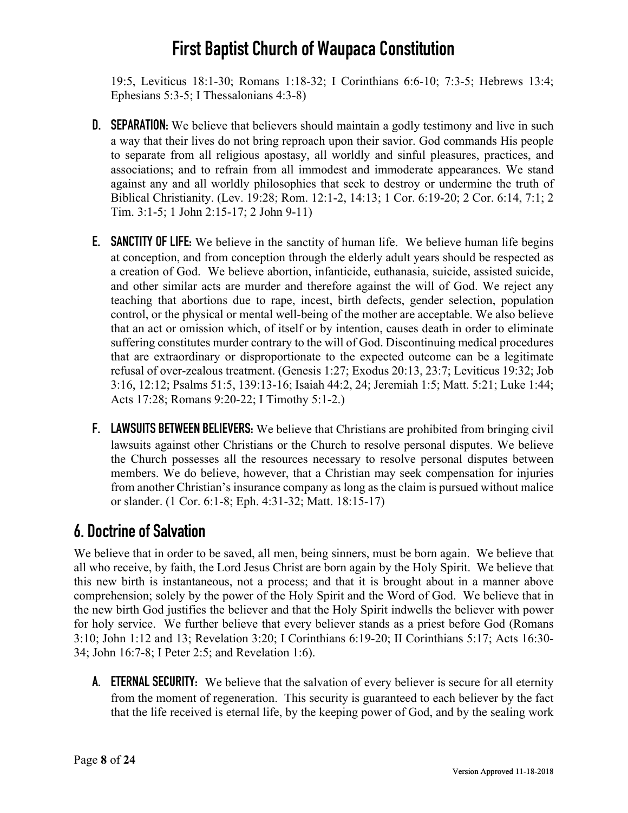19:5, Leviticus 18:1-30; Romans 1:18-32; I Corinthians 6:6-10; 7:3-5; Hebrews 13:4; Ephesians 5:3-5; I Thessalonians 4:3-8)

- **D. SEPARATION:** We believe that believers should maintain a godly testimony and live in such a way that their lives do not bring reproach upon their savior. God commands His people to separate from all religious apostasy, all worldly and sinful pleasures, practices, and associations; and to refrain from all immodest and immoderate appearances. We stand against any and all worldly philosophies that seek to destroy or undermine the truth of Biblical Christianity. (Lev. 19:28; Rom. 12:1-2, 14:13; 1 Cor. 6:19-20; 2 Cor. 6:14, 7:1; 2 Tim. 3:1-5; 1 John 2:15-17; 2 John 9-11)
- **E. SANCTITY OF LIFE:** We believe in the sanctity of human life. We believe human life begins at conception, and from conception through the elderly adult years should be respected as a creation of God. We believe abortion, infanticide, euthanasia, suicide, assisted suicide, and other similar acts are murder and therefore against the will of God. We reject any teaching that abortions due to rape, incest, birth defects, gender selection, population control, or the physical or mental well-being of the mother are acceptable. We also believe that an act or omission which, of itself or by intention, causes death in order to eliminate suffering constitutes murder contrary to the will of God. Discontinuing medical procedures that are extraordinary or disproportionate to the expected outcome can be a legitimate refusal of over-zealous treatment. (Genesis 1:27; Exodus 20:13, 23:7; Leviticus 19:32; Job 3:16, 12:12; Psalms 51:5, 139:13-16; Isaiah 44:2, 24; Jeremiah 1:5; Matt. 5:21; Luke 1:44; Acts 17:28; Romans 9:20-22; I Timothy 5:1-2.)
- **F. LAWSUITS BETWEEN BELIEVERS:** We believe that Christians are prohibited from bringing civil lawsuits against other Christians or the Church to resolve personal disputes. We believe the Church possesses all the resources necessary to resolve personal disputes between members. We do believe, however, that a Christian may seek compensation for injuries from another Christian's insurance company as long as the claim is pursued without malice or slander. (1 Cor. 6:1-8; Eph. 4:31-32; Matt. 18:15-17)

## **6. Doctrine of Salvation**

We believe that in order to be saved, all men, being sinners, must be born again. We believe that all who receive, by faith, the Lord Jesus Christ are born again by the Holy Spirit. We believe that this new birth is instantaneous, not a process; and that it is brought about in a manner above comprehension; solely by the power of the Holy Spirit and the Word of God. We believe that in the new birth God justifies the believer and that the Holy Spirit indwells the believer with power for holy service. We further believe that every believer stands as a priest before God (Romans 3:10; John 1:12 and 13; Revelation 3:20; I Corinthians 6:19-20; II Corinthians 5:17; Acts 16:30- 34; John 16:7-8; I Peter 2:5; and Revelation 1:6).

**A. ETERNAL SECURITY:** We believe that the salvation of every believer is secure for all eternity from the moment of regeneration. This security is guaranteed to each believer by the fact that the life received is eternal life, by the keeping power of God, and by the sealing work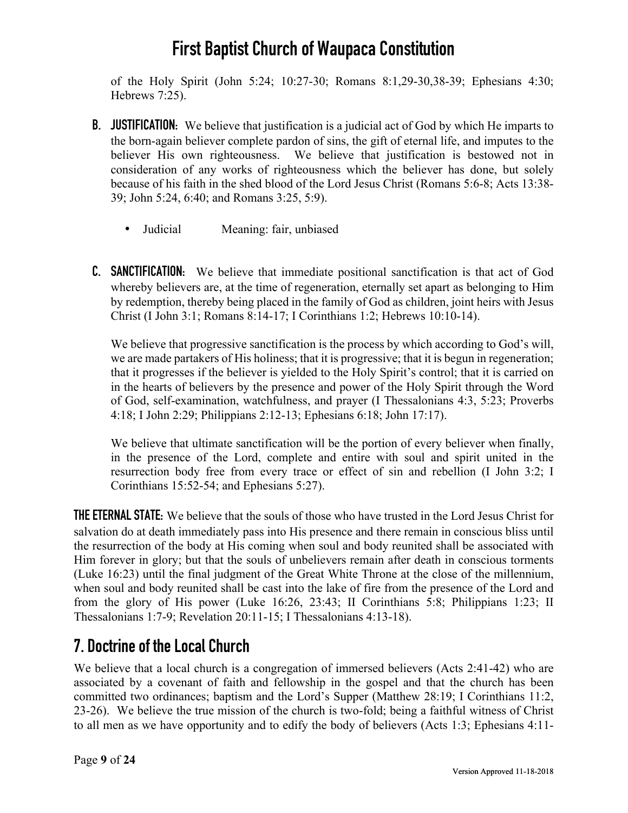of the Holy Spirit (John 5:24; 10:27-30; Romans 8:1,29-30,38-39; Ephesians 4:30; Hebrews 7:25).

- **B. JUSTIFICATION:** We believe that justification is a judicial act of God by which He imparts to the born-again believer complete pardon of sins, the gift of eternal life, and imputes to the believer His own righteousness. We believe that justification is bestowed not in consideration of any works of righteousness which the believer has done, but solely because of his faith in the shed blood of the Lord Jesus Christ (Romans 5:6-8; Acts 13:38- 39; John 5:24, 6:40; and Romans 3:25, 5:9).
	- Judicial Meaning: fair, unbiased
- **C. SANCTIFICATION:** We believe that immediate positional sanctification is that act of God whereby believers are, at the time of regeneration, eternally set apart as belonging to Him by redemption, thereby being placed in the family of God as children, joint heirs with Jesus Christ (I John 3:1; Romans 8:14-17; I Corinthians 1:2; Hebrews 10:10-14).

We believe that progressive sanctification is the process by which according to God's will, we are made partakers of His holiness; that it is progressive; that it is begun in regeneration; that it progresses if the believer is yielded to the Holy Spirit's control; that it is carried on in the hearts of believers by the presence and power of the Holy Spirit through the Word of God, self-examination, watchfulness, and prayer (I Thessalonians 4:3, 5:23; Proverbs 4:18; I John 2:29; Philippians 2:12-13; Ephesians 6:18; John 17:17).

We believe that ultimate sanctification will be the portion of every believer when finally, in the presence of the Lord, complete and entire with soul and spirit united in the resurrection body free from every trace or effect of sin and rebellion (I John 3:2; I Corinthians 15:52-54; and Ephesians 5:27).

**THE ETERNAL STATE:** We believe that the souls of those who have trusted in the Lord Jesus Christ for salvation do at death immediately pass into His presence and there remain in conscious bliss until the resurrection of the body at His coming when soul and body reunited shall be associated with Him forever in glory; but that the souls of unbelievers remain after death in conscious torments (Luke 16:23) until the final judgment of the Great White Throne at the close of the millennium, when soul and body reunited shall be cast into the lake of fire from the presence of the Lord and from the glory of His power (Luke 16:26, 23:43; II Corinthians 5:8; Philippians 1:23; II Thessalonians 1:7-9; Revelation 20:11-15; I Thessalonians 4:13-18).

## **7. Doctrine of the Local Church**

We believe that a local church is a congregation of immersed believers (Acts 2:41-42) who are associated by a covenant of faith and fellowship in the gospel and that the church has been committed two ordinances; baptism and the Lord's Supper (Matthew 28:19; I Corinthians 11:2, 23-26). We believe the true mission of the church is two-fold; being a faithful witness of Christ to all men as we have opportunity and to edify the body of believers (Acts 1:3; Ephesians 4:11-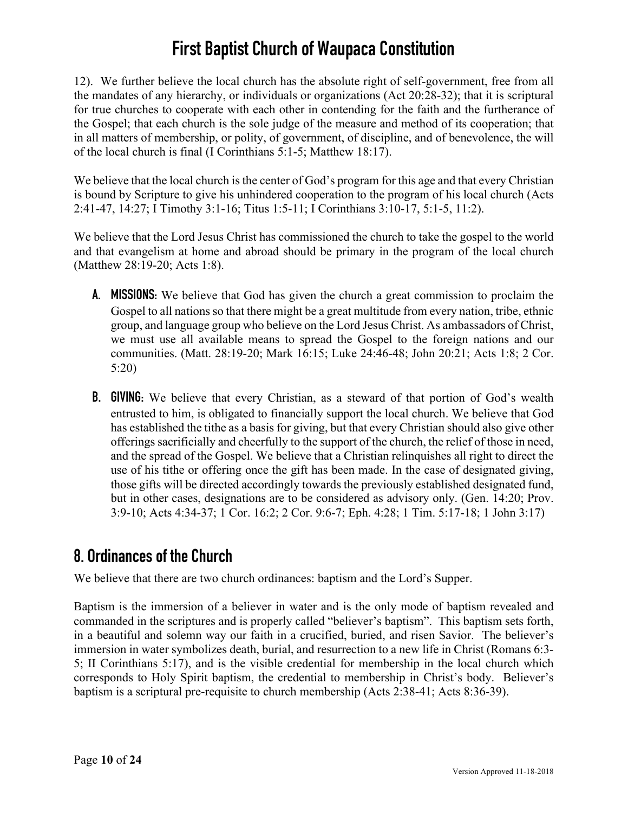12). We further believe the local church has the absolute right of self-government, free from all the mandates of any hierarchy, or individuals or organizations (Act 20:28-32); that it is scriptural for true churches to cooperate with each other in contending for the faith and the furtherance of the Gospel; that each church is the sole judge of the measure and method of its cooperation; that in all matters of membership, or polity, of government, of discipline, and of benevolence, the will of the local church is final (I Corinthians 5:1-5; Matthew 18:17).

We believe that the local church is the center of God's program for this age and that every Christian is bound by Scripture to give his unhindered cooperation to the program of his local church (Acts 2:41-47, 14:27; I Timothy 3:1-16; Titus 1:5-11; I Corinthians 3:10-17, 5:1-5, 11:2).

We believe that the Lord Jesus Christ has commissioned the church to take the gospel to the world and that evangelism at home and abroad should be primary in the program of the local church (Matthew 28:19-20; Acts 1:8).

- **A. MISSIONS:** We believe that God has given the church a great commission to proclaim the Gospel to all nations so that there might be a great multitude from every nation, tribe, ethnic group, and language group who believe on the Lord Jesus Christ. As ambassadors of Christ, we must use all available means to spread the Gospel to the foreign nations and our communities. (Matt. 28:19-20; Mark 16:15; Luke 24:46-48; John 20:21; Acts 1:8; 2 Cor. 5:20)
- **B. GIVING:** We believe that every Christian, as a steward of that portion of God's wealth entrusted to him, is obligated to financially support the local church. We believe that God has established the tithe as a basis for giving, but that every Christian should also give other offerings sacrificially and cheerfully to the support of the church, the relief of those in need, and the spread of the Gospel. We believe that a Christian relinquishes all right to direct the use of his tithe or offering once the gift has been made. In the case of designated giving, those gifts will be directed accordingly towards the previously established designated fund, but in other cases, designations are to be considered as advisory only. (Gen. 14:20; Prov. 3:9-10; Acts 4:34-37; 1 Cor. 16:2; 2 Cor. 9:6-7; Eph. 4:28; 1 Tim. 5:17-18; 1 John 3:17)

## **8. Ordinances of the Church**

We believe that there are two church ordinances: baptism and the Lord's Supper.

Baptism is the immersion of a believer in water and is the only mode of baptism revealed and commanded in the scriptures and is properly called "believer's baptism". This baptism sets forth, in a beautiful and solemn way our faith in a crucified, buried, and risen Savior. The believer's immersion in water symbolizes death, burial, and resurrection to a new life in Christ (Romans 6:3- 5; II Corinthians 5:17), and is the visible credential for membership in the local church which corresponds to Holy Spirit baptism, the credential to membership in Christ's body. Believer's baptism is a scriptural pre-requisite to church membership (Acts 2:38-41; Acts 8:36-39).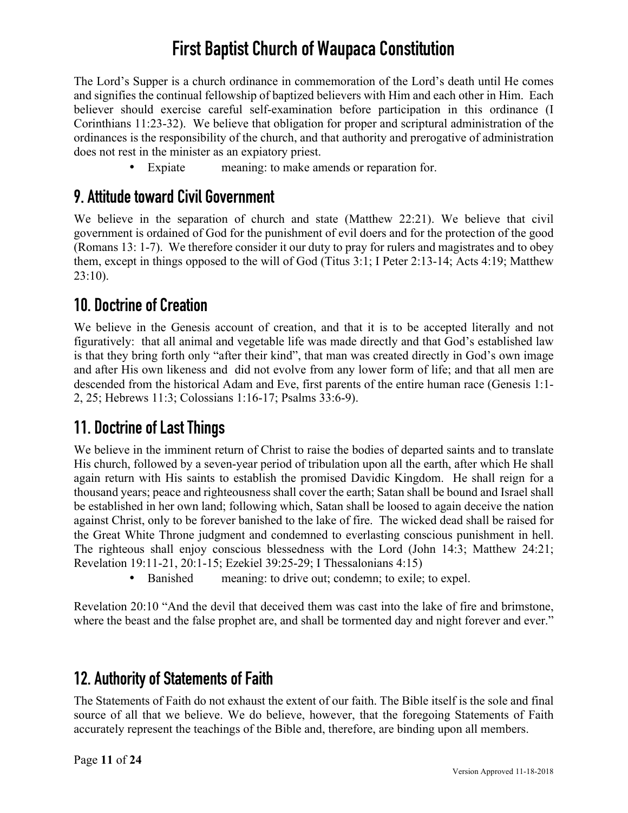The Lord's Supper is a church ordinance in commemoration of the Lord's death until He comes and signifies the continual fellowship of baptized believers with Him and each other in Him. Each believer should exercise careful self-examination before participation in this ordinance (I Corinthians 11:23-32). We believe that obligation for proper and scriptural administration of the ordinances is the responsibility of the church, and that authority and prerogative of administration does not rest in the minister as an expiatory priest.

• Expiate meaning: to make amends or reparation for.

### **9. Attitude toward Civil Government**

We believe in the separation of church and state (Matthew 22:21). We believe that civil government is ordained of God for the punishment of evil doers and for the protection of the good (Romans 13: 1-7). We therefore consider it our duty to pray for rulers and magistrates and to obey them, except in things opposed to the will of God (Titus 3:1; I Peter 2:13-14; Acts 4:19; Matthew 23:10).

### **10. Doctrine of Creation**

We believe in the Genesis account of creation, and that it is to be accepted literally and not figuratively: that all animal and vegetable life was made directly and that God's established law is that they bring forth only "after their kind", that man was created directly in God's own image and after His own likeness and did not evolve from any lower form of life; and that all men are descended from the historical Adam and Eve, first parents of the entire human race (Genesis 1:1- 2, 25; Hebrews 11:3; Colossians 1:16-17; Psalms 33:6-9).

## **11. Doctrine of Last Things**

We believe in the imminent return of Christ to raise the bodies of departed saints and to translate His church, followed by a seven-year period of tribulation upon all the earth, after which He shall again return with His saints to establish the promised Davidic Kingdom. He shall reign for a thousand years; peace and righteousness shall cover the earth; Satan shall be bound and Israel shall be established in her own land; following which, Satan shall be loosed to again deceive the nation against Christ, only to be forever banished to the lake of fire. The wicked dead shall be raised for the Great White Throne judgment and condemned to everlasting conscious punishment in hell. The righteous shall enjoy conscious blessedness with the Lord (John 14:3; Matthew 24:21; Revelation 19:11-21, 20:1-15; Ezekiel 39:25-29; I Thessalonians 4:15)

• Banished meaning: to drive out; condemn; to exile; to expel.

Revelation 20:10 "And the devil that deceived them was cast into the lake of fire and brimstone, where the beast and the false prophet are, and shall be tormented day and night forever and ever."

### **12. Authority of Statements of Faith**

The Statements of Faith do not exhaust the extent of our faith. The Bible itself is the sole and final source of all that we believe. We do believe, however, that the foregoing Statements of Faith accurately represent the teachings of the Bible and, therefore, are binding upon all members.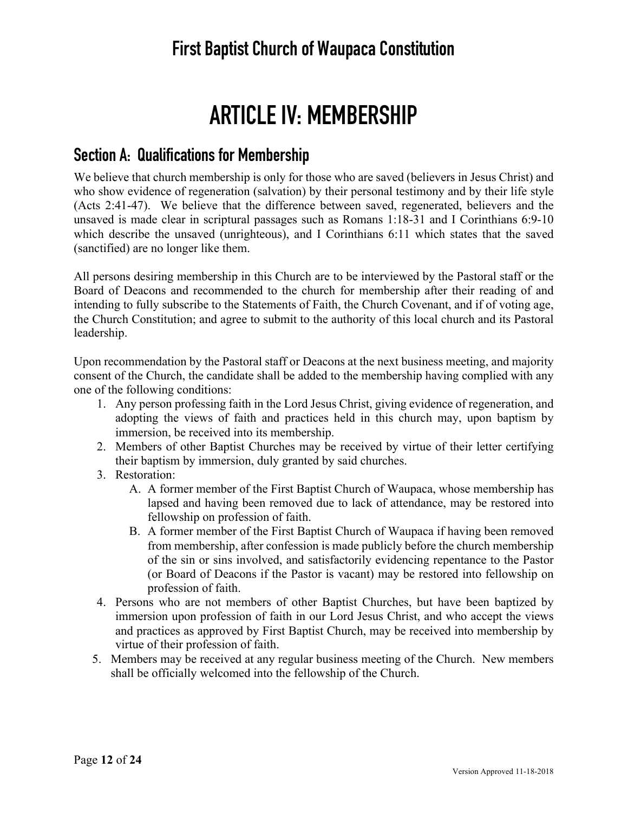# **ARTICLE IV: MEMBERSHIP**

#### **Section A: Qualifications for Membership**

We believe that church membership is only for those who are saved (believers in Jesus Christ) and who show evidence of regeneration (salvation) by their personal testimony and by their life style (Acts 2:41-47). We believe that the difference between saved, regenerated, believers and the unsaved is made clear in scriptural passages such as Romans 1:18-31 and I Corinthians 6:9-10 which describe the unsaved (unrighteous), and I Corinthians 6:11 which states that the saved (sanctified) are no longer like them.

All persons desiring membership in this Church are to be interviewed by the Pastoral staff or the Board of Deacons and recommended to the church for membership after their reading of and intending to fully subscribe to the Statements of Faith, the Church Covenant, and if of voting age, the Church Constitution; and agree to submit to the authority of this local church and its Pastoral leadership.

Upon recommendation by the Pastoral staff or Deacons at the next business meeting, and majority consent of the Church, the candidate shall be added to the membership having complied with any one of the following conditions:

- 1. Any person professing faith in the Lord Jesus Christ, giving evidence of regeneration, and adopting the views of faith and practices held in this church may, upon baptism by immersion, be received into its membership.
- 2. Members of other Baptist Churches may be received by virtue of their letter certifying their baptism by immersion, duly granted by said churches.
- 3. Restoration:
	- A. A former member of the First Baptist Church of Waupaca, whose membership has lapsed and having been removed due to lack of attendance, may be restored into fellowship on profession of faith.
	- B. A former member of the First Baptist Church of Waupaca if having been removed from membership, after confession is made publicly before the church membership of the sin or sins involved, and satisfactorily evidencing repentance to the Pastor (or Board of Deacons if the Pastor is vacant) may be restored into fellowship on profession of faith.
- 4. Persons who are not members of other Baptist Churches, but have been baptized by immersion upon profession of faith in our Lord Jesus Christ, and who accept the views and practices as approved by First Baptist Church, may be received into membership by virtue of their profession of faith.
- 5. Members may be received at any regular business meeting of the Church. New members shall be officially welcomed into the fellowship of the Church.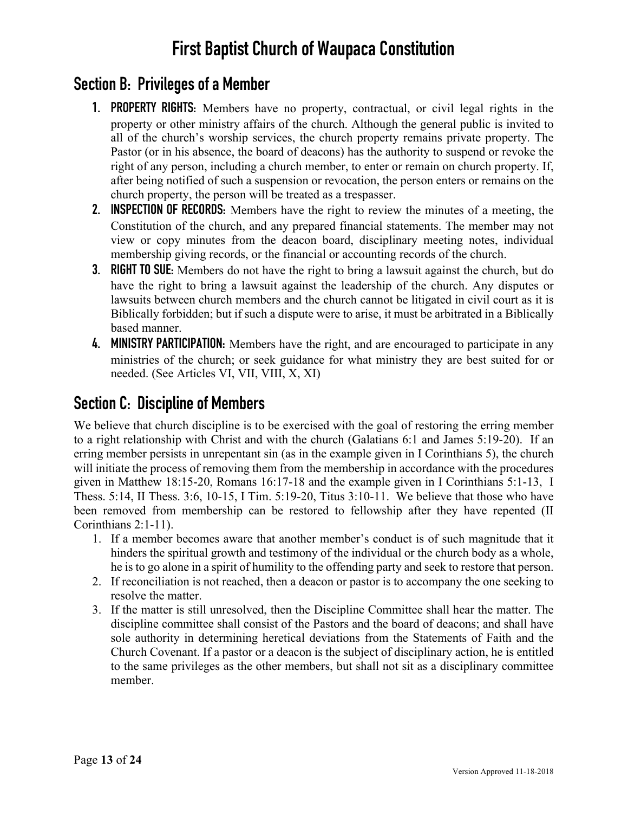## **Section B: Privileges of a Member**

- **1. PROPERTY RIGHTS:** Members have no property, contractual, or civil legal rights in the property or other ministry affairs of the church. Although the general public is invited to all of the church's worship services, the church property remains private property. The Pastor (or in his absence, the board of deacons) has the authority to suspend or revoke the right of any person, including a church member, to enter or remain on church property. If, after being notified of such a suspension or revocation, the person enters or remains on the church property, the person will be treated as a trespasser.
- **2. INSPECTION OF RECORDS:** Members have the right to review the minutes of a meeting, the Constitution of the church, and any prepared financial statements. The member may not view or copy minutes from the deacon board, disciplinary meeting notes, individual membership giving records, or the financial or accounting records of the church.
- **3. RIGHT TO SUE:** Members do not have the right to bring a lawsuit against the church, but do have the right to bring a lawsuit against the leadership of the church. Any disputes or lawsuits between church members and the church cannot be litigated in civil court as it is Biblically forbidden; but if such a dispute were to arise, it must be arbitrated in a Biblically based manner.
- **4. MINISTRY PARTICIPATION:** Members have the right, and are encouraged to participate in any ministries of the church; or seek guidance for what ministry they are best suited for or needed. (See Articles VI, VII, VIII, X, XI)

### **Section C: Discipline of Members**

We believe that church discipline is to be exercised with the goal of restoring the erring member to a right relationship with Christ and with the church (Galatians 6:1 and James 5:19-20). If an erring member persists in unrepentant sin (as in the example given in I Corinthians 5), the church will initiate the process of removing them from the membership in accordance with the procedures given in Matthew 18:15-20, Romans 16:17-18 and the example given in I Corinthians 5:1-13, I Thess. 5:14, II Thess. 3:6, 10-15, I Tim. 5:19-20, Titus 3:10-11. We believe that those who have been removed from membership can be restored to fellowship after they have repented (II Corinthians 2:1-11).

- 1. If a member becomes aware that another member's conduct is of such magnitude that it hinders the spiritual growth and testimony of the individual or the church body as a whole, he is to go alone in a spirit of humility to the offending party and seek to restore that person.
- 2. If reconciliation is not reached, then a deacon or pastor is to accompany the one seeking to resolve the matter.
- 3. If the matter is still unresolved, then the Discipline Committee shall hear the matter. The discipline committee shall consist of the Pastors and the board of deacons; and shall have sole authority in determining heretical deviations from the Statements of Faith and the Church Covenant. If a pastor or a deacon is the subject of disciplinary action, he is entitled to the same privileges as the other members, but shall not sit as a disciplinary committee member.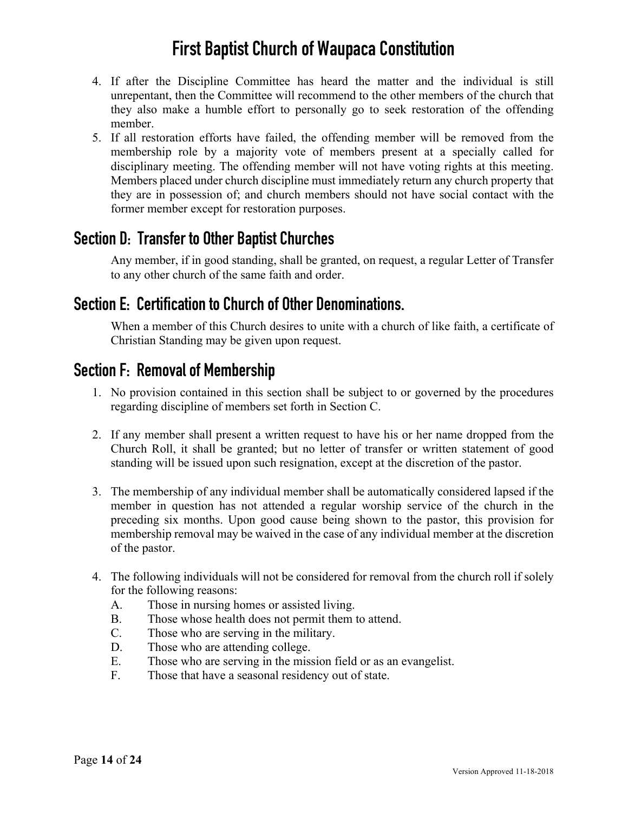- 4. If after the Discipline Committee has heard the matter and the individual is still unrepentant, then the Committee will recommend to the other members of the church that they also make a humble effort to personally go to seek restoration of the offending member.
- 5. If all restoration efforts have failed, the offending member will be removed from the membership role by a majority vote of members present at a specially called for disciplinary meeting. The offending member will not have voting rights at this meeting. Members placed under church discipline must immediately return any church property that they are in possession of; and church members should not have social contact with the former member except for restoration purposes.

### **Section D: Transfer to Other Baptist Churches**

Any member, if in good standing, shall be granted, on request, a regular Letter of Transfer to any other church of the same faith and order.

### **Section E: Certification to Church of Other Denominations.**

When a member of this Church desires to unite with a church of like faith, a certificate of Christian Standing may be given upon request.

### **Section F: Removal of Membership**

- 1. No provision contained in this section shall be subject to or governed by the procedures regarding discipline of members set forth in Section C.
- 2. If any member shall present a written request to have his or her name dropped from the Church Roll, it shall be granted; but no letter of transfer or written statement of good standing will be issued upon such resignation, except at the discretion of the pastor.
- 3. The membership of any individual member shall be automatically considered lapsed if the member in question has not attended a regular worship service of the church in the preceding six months. Upon good cause being shown to the pastor, this provision for membership removal may be waived in the case of any individual member at the discretion of the pastor.
- 4. The following individuals will not be considered for removal from the church roll if solely for the following reasons:
	- A. Those in nursing homes or assisted living.
	- B. Those whose health does not permit them to attend.
	- C. Those who are serving in the military.
	- D. Those who are attending college.
	- E. Those who are serving in the mission field or as an evangelist.
	- F. Those that have a seasonal residency out of state.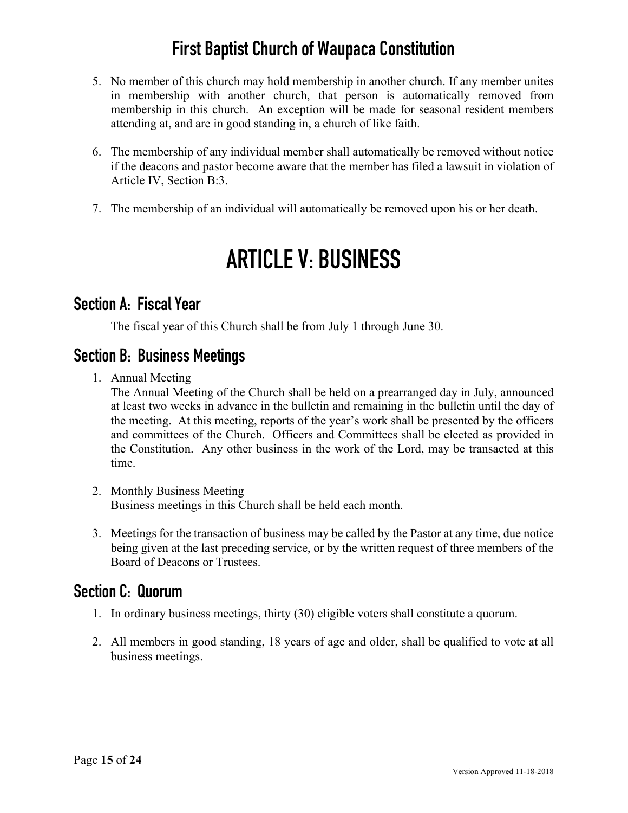- 5. No member of this church may hold membership in another church. If any member unites in membership with another church, that person is automatically removed from membership in this church. An exception will be made for seasonal resident members attending at, and are in good standing in, a church of like faith.
- 6. The membership of any individual member shall automatically be removed without notice if the deacons and pastor become aware that the member has filed a lawsuit in violation of Article IV, Section B:3.
- 7. The membership of an individual will automatically be removed upon his or her death.

# **ARTICLE V: BUSINESS**

#### **Section A: Fiscal Year**

The fiscal year of this Church shall be from July 1 through June 30.

### **Section B: Business Meetings**

1. Annual Meeting

The Annual Meeting of the Church shall be held on a prearranged day in July, announced at least two weeks in advance in the bulletin and remaining in the bulletin until the day of the meeting. At this meeting, reports of the year's work shall be presented by the officers and committees of the Church. Officers and Committees shall be elected as provided in the Constitution. Any other business in the work of the Lord, may be transacted at this time.

- 2. Monthly Business Meeting Business meetings in this Church shall be held each month.
- 3. Meetings for the transaction of business may be called by the Pastor at any time, due notice being given at the last preceding service, or by the written request of three members of the Board of Deacons or Trustees.

### **Section C: Quorum**

- 1. In ordinary business meetings, thirty (30) eligible voters shall constitute a quorum.
- 2. All members in good standing, 18 years of age and older, shall be qualified to vote at all business meetings.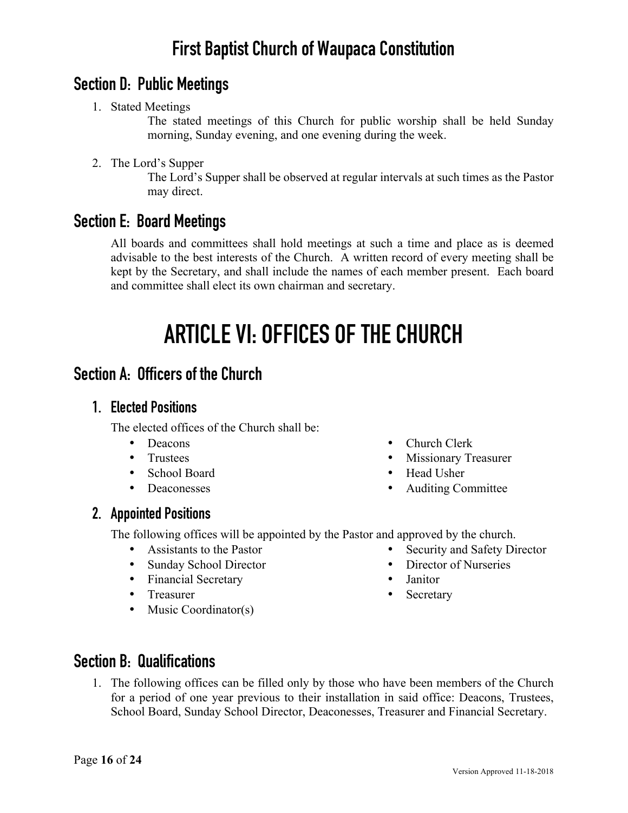### **Section D: Public Meetings**

1. Stated Meetings

The stated meetings of this Church for public worship shall be held Sunday morning, Sunday evening, and one evening during the week.

2. The Lord's Supper

The Lord's Supper shall be observed at regular intervals at such times as the Pastor may direct.

### **Section E: Board Meetings**

All boards and committees shall hold meetings at such a time and place as is deemed advisable to the best interests of the Church. A written record of every meeting shall be kept by the Secretary, and shall include the names of each member present. Each board and committee shall elect its own chairman and secretary.

# **ARTICLE VI: OFFICES OF THE CHURCH**

### **Section A: Officers of the Church**

#### **1. Elected Positions**

The elected offices of the Church shall be:

- Deacons
- Trustees
- School Board
- Deaconesses
- **2. Appointed Positions**
	- The following offices will be appointed by the Pastor and approved by the church.
		- Assistants to the Pastor
		- Sunday School Director
		- Financial Secretary
		- Treasurer
		- Music Coordinator(s)
- Church Clerk
- Missionary Treasurer
- Head Usher
- Auditing Committee
- - Security and Safety Director
	- Director of Nurseries
	- Janitor
	- Secretary

### **Section B: Qualifications**

1. The following offices can be filled only by those who have been members of the Church for a period of one year previous to their installation in said office: Deacons, Trustees, School Board, Sunday School Director, Deaconesses, Treasurer and Financial Secretary.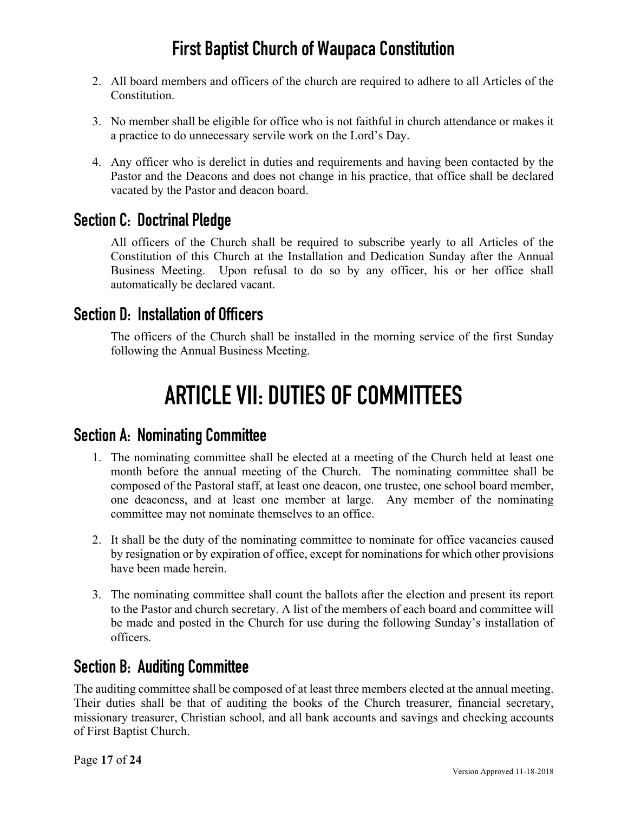- 2. All board members and officers of the church are required to adhere to all Articles of the **Constitution**
- 3. No member shall be eligible for office who is not faithful in church attendance or makes it a practice to do unnecessary servile work on the Lord's Day.
- 4. Any officer who is derelict in duties and requirements and having been contacted by the Pastor and the Deacons and does not change in his practice, that office shall be declared vacated by the Pastor and deacon board.

### **Section C: Doctrinal Pledge**

All officers of the Church shall be required to subscribe yearly to all Articles of the Constitution of this Church at the Installation and Dedication Sunday after the Annual Business Meeting. Upon refusal to do so by any officer, his or her office shall automatically be declared vacant.

#### **Section D: Installation of Officers**

The officers of the Church shall be installed in the morning service of the first Sunday following the Annual Business Meeting.

# **ARTICLE VII: DUTIES OF COMMITTEES**

#### **Section A: Nominating Committee**

- 1. The nominating committee shall be elected at a meeting of the Church held at least one month before the annual meeting of the Church. The nominating committee shall be composed of the Pastoral staff, at least one deacon, one trustee, one school board member, one deaconess, and at least one member at large. Any member of the nominating committee may not nominate themselves to an office.
- 2. It shall be the duty of the nominating committee to nominate for office vacancies caused by resignation or by expiration of office, except for nominations for which other provisions have been made herein.
- 3. The nominating committee shall count the ballots after the election and present its report to the Pastor and church secretary. A list of the members of each board and committee will be made and posted in the Church for use during the following Sunday's installation of officers.

### **Section B: Auditing Committee**

The auditing committee shall be composed of at least three members elected at the annual meeting. Their duties shall be that of auditing the books of the Church treasurer, financial secretary, missionary treasurer, Christian school, and all bank accounts and savings and checking accounts of First Baptist Church.

Page **17** of **24**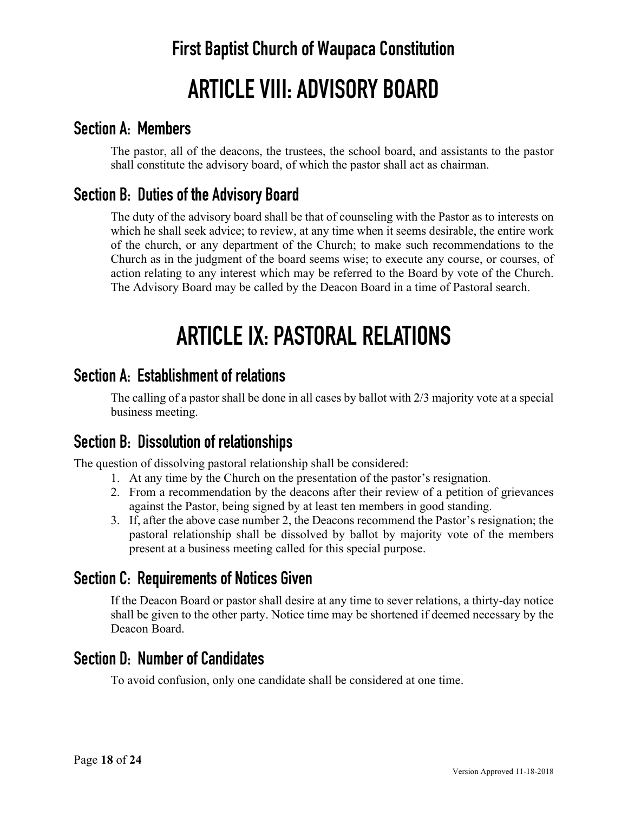# **First Baptist Church of Waupaca Constitution ARTICLE VIII: ADVISORY BOARD**

### **Section A: Members**

The pastor, all of the deacons, the trustees, the school board, and assistants to the pastor shall constitute the advisory board, of which the pastor shall act as chairman.

### **Section B: Duties of the Advisory Board**

The duty of the advisory board shall be that of counseling with the Pastor as to interests on which he shall seek advice; to review, at any time when it seems desirable, the entire work of the church, or any department of the Church; to make such recommendations to the Church as in the judgment of the board seems wise; to execute any course, or courses, of action relating to any interest which may be referred to the Board by vote of the Church. The Advisory Board may be called by the Deacon Board in a time of Pastoral search.

# **ARTICLE IX: PASTORAL RELATIONS**

### **Section A: Establishment of relations**

The calling of a pastor shall be done in all cases by ballot with 2/3 majority vote at a special business meeting.

### **Section B: Dissolution of relationships**

The question of dissolving pastoral relationship shall be considered:

- 1. At any time by the Church on the presentation of the pastor's resignation.
- 2. From a recommendation by the deacons after their review of a petition of grievances against the Pastor, being signed by at least ten members in good standing.
- 3. If, after the above case number 2, the Deacons recommend the Pastor's resignation; the pastoral relationship shall be dissolved by ballot by majority vote of the members present at a business meeting called for this special purpose.

### **Section C: Requirements of Notices Given**

If the Deacon Board or pastor shall desire at any time to sever relations, a thirty-day notice shall be given to the other party. Notice time may be shortened if deemed necessary by the Deacon Board.

### **Section D: Number of Candidates**

To avoid confusion, only one candidate shall be considered at one time.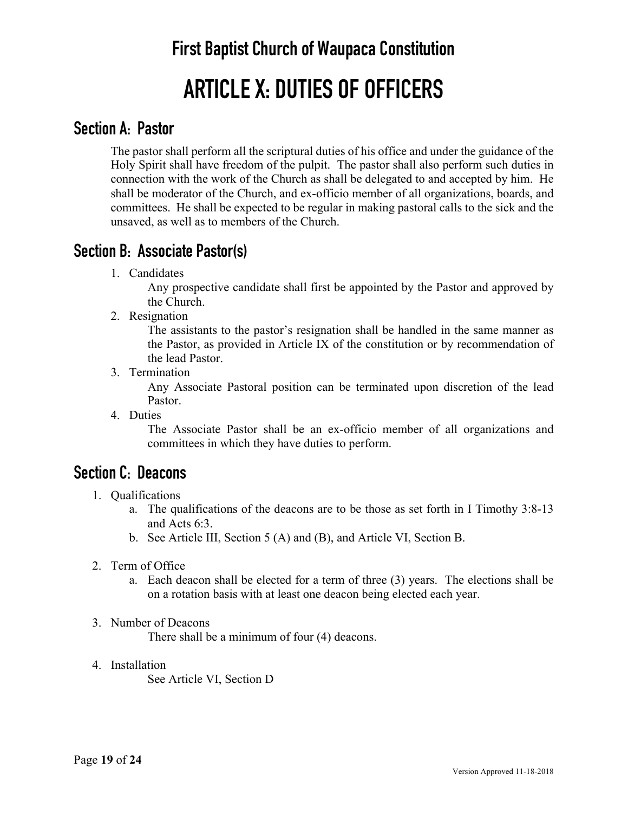# **First Baptist Church of Waupaca Constitution ARTICLE X: DUTIES OF OFFICERS**

### **Section A: Pastor**

The pastor shall perform all the scriptural duties of his office and under the guidance of the Holy Spirit shall have freedom of the pulpit. The pastor shall also perform such duties in connection with the work of the Church as shall be delegated to and accepted by him. He shall be moderator of the Church, and ex-officio member of all organizations, boards, and committees. He shall be expected to be regular in making pastoral calls to the sick and the unsaved, as well as to members of the Church.

### **Section B: Associate Pastor(s)**

1. Candidates

Any prospective candidate shall first be appointed by the Pastor and approved by the Church.

2. Resignation

The assistants to the pastor's resignation shall be handled in the same manner as the Pastor, as provided in Article IX of the constitution or by recommendation of the lead Pastor.

3. Termination

Any Associate Pastoral position can be terminated upon discretion of the lead Pastor.

4. Duties

The Associate Pastor shall be an ex-officio member of all organizations and committees in which they have duties to perform.

### **Section C: Deacons**

- 1. Qualifications
	- a. The qualifications of the deacons are to be those as set forth in I Timothy 3:8-13 and Acts 6:3.
	- b. See Article III, Section 5 (A) and (B), and Article VI, Section B.
- 2. Term of Office
	- a. Each deacon shall be elected for a term of three (3) years. The elections shall be on a rotation basis with at least one deacon being elected each year.
- 3. Number of Deacons

There shall be a minimum of four (4) deacons.

4. Installation See Article VI, Section D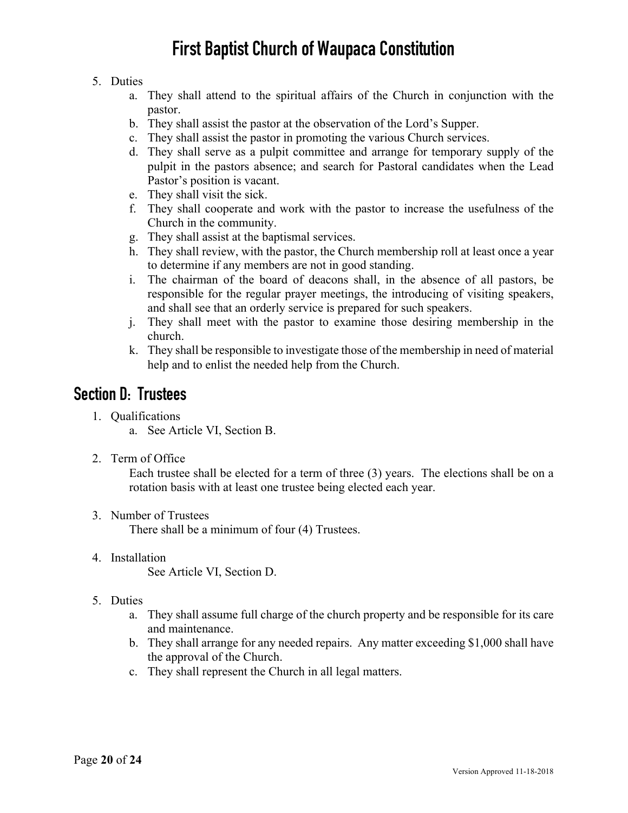#### 5. Duties

- a. They shall attend to the spiritual affairs of the Church in conjunction with the pastor.
- b. They shall assist the pastor at the observation of the Lord's Supper.
- c. They shall assist the pastor in promoting the various Church services.
- d. They shall serve as a pulpit committee and arrange for temporary supply of the pulpit in the pastors absence; and search for Pastoral candidates when the Lead Pastor's position is vacant.
- e. They shall visit the sick.
- f. They shall cooperate and work with the pastor to increase the usefulness of the Church in the community.
- g. They shall assist at the baptismal services.
- h. They shall review, with the pastor, the Church membership roll at least once a year to determine if any members are not in good standing.
- i. The chairman of the board of deacons shall, in the absence of all pastors, be responsible for the regular prayer meetings, the introducing of visiting speakers, and shall see that an orderly service is prepared for such speakers.
- j. They shall meet with the pastor to examine those desiring membership in the church.
- k. They shall be responsible to investigate those of the membership in need of material help and to enlist the needed help from the Church.

### **Section D: Trustees**

- 1. Qualifications
	- a. See Article VI, Section B.
- 2. Term of Office

Each trustee shall be elected for a term of three (3) years. The elections shall be on a rotation basis with at least one trustee being elected each year.

- 3. Number of Trustees There shall be a minimum of four (4) Trustees.
- 4. Installation

See Article VI, Section D.

- 5. Duties
	- a. They shall assume full charge of the church property and be responsible for its care and maintenance.
	- b. They shall arrange for any needed repairs. Any matter exceeding \$1,000 shall have the approval of the Church.
	- c. They shall represent the Church in all legal matters.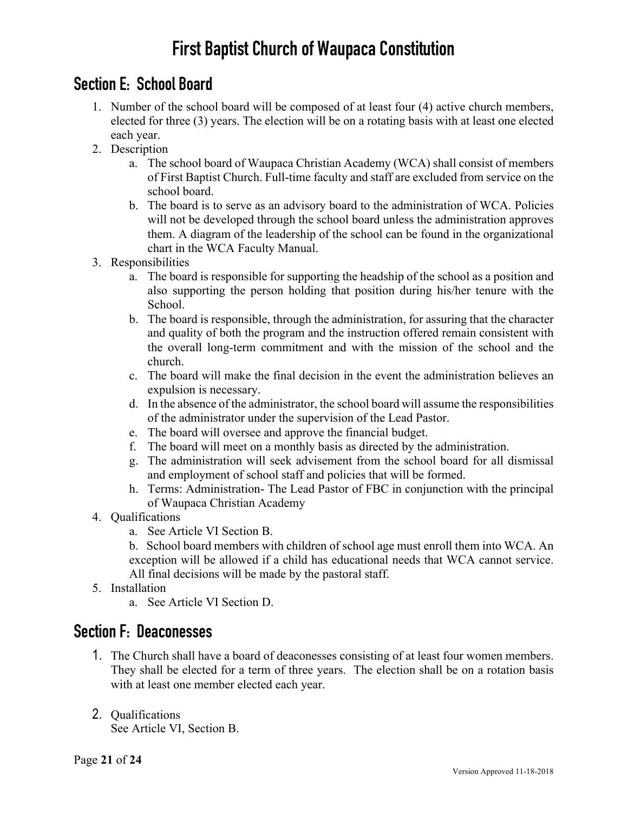## **Section E: School Board**

- 1. Number of the school board will be composed of at least four (4) active church members, elected for three (3) years. The election will be on a rotating basis with at least one elected each year.
- 2. Description
	- a. The school board of Waupaca Christian Academy (WCA) shall consist of members of First Baptist Church. Full-time faculty and staff are excluded from service on the school board.
	- b. The board is to serve as an advisory board to the administration of WCA. Policies will not be developed through the school board unless the administration approves them. A diagram of the leadership of the school can be found in the organizational chart in the WCA Faculty Manual.
- 3. Responsibilities
	- a. The board is responsible for supporting the headship of the school as a position and also supporting the person holding that position during his/her tenure with the School.
	- b. The board is responsible, through the administration, for assuring that the character and quality of both the program and the instruction offered remain consistent with the overall long-term commitment and with the mission of the school and the church.
	- c. The board will make the final decision in the event the administration believes an expulsion is necessary.
	- d. In the absence of the administrator, the school board will assume the responsibilities of the administrator under the supervision of the Lead Pastor.
	- e. The board will oversee and approve the financial budget.
	- f. The board will meet on a monthly basis as directed by the administration.
	- g. The administration will seek advisement from the school board for all dismissal and employment of school staff and policies that will be formed.
	- h. Terms: Administration- The Lead Pastor of FBC in conjunction with the principal of Waupaca Christian Academy
- 4. Qualifications
	- a. See Article VI Section B.
	- b. School board members with children of school age must enroll them into WCA. An exception will be allowed if a child has educational needs that WCA cannot service. All final decisions will be made by the pastoral staff.
- 5. Installation
	- a. See Article VI Section D.

### **Section F: Deaconesses**

- 1. The Church shall have a board of deaconesses consisting of at least four women members. They shall be elected for a term of three years. The election shall be on a rotation basis with at least one member elected each year.
- 2. Qualifications

See Article VI, Section B.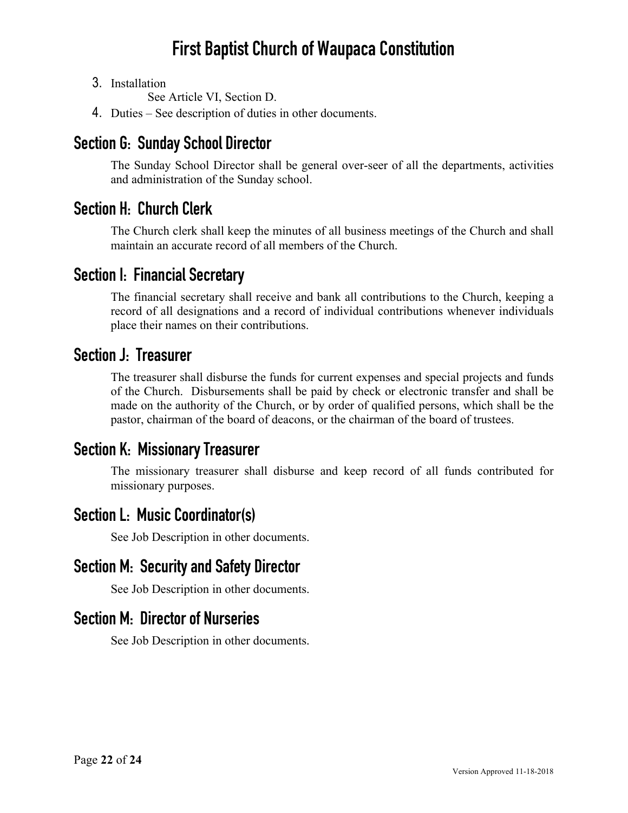3. Installation

See Article VI, Section D.

4. Duties – See description of duties in other documents.

### **Section G: Sunday School Director**

The Sunday School Director shall be general over-seer of all the departments, activities and administration of the Sunday school.

### **Section H: Church Clerk**

The Church clerk shall keep the minutes of all business meetings of the Church and shall maintain an accurate record of all members of the Church.

### **Section I: Financial Secretary**

The financial secretary shall receive and bank all contributions to the Church, keeping a record of all designations and a record of individual contributions whenever individuals place their names on their contributions.

#### **Section J: Treasurer**

The treasurer shall disburse the funds for current expenses and special projects and funds of the Church. Disbursements shall be paid by check or electronic transfer and shall be made on the authority of the Church, or by order of qualified persons, which shall be the pastor, chairman of the board of deacons, or the chairman of the board of trustees.

### **Section K: Missionary Treasurer**

The missionary treasurer shall disburse and keep record of all funds contributed for missionary purposes.

### **Section L: Music Coordinator(s)**

See Job Description in other documents.

### **Section M: Security and Safety Director**

See Job Description in other documents.

### **Section M: Director of Nurseries**

See Job Description in other documents.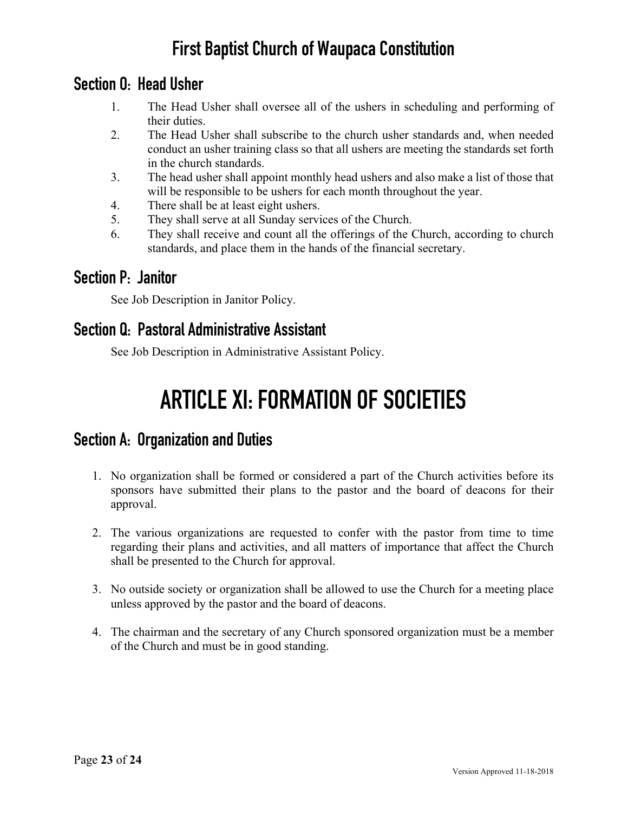### **Section O: Head Usher**

- 1. The Head Usher shall oversee all of the ushers in scheduling and performing of their duties.
- 2. The Head Usher shall subscribe to the church usher standards and, when needed conduct an usher training class so that all ushers are meeting the standards set forth in the church standards.
- 3. The head usher shall appoint monthly head ushers and also make a list of those that will be responsible to be ushers for each month throughout the year.
- 4. There shall be at least eight ushers.
- 5. They shall serve at all Sunday services of the Church.
- 6. They shall receive and count all the offerings of the Church, according to church standards, and place them in the hands of the financial secretary.

### **Section P: Janitor**

See Job Description in Janitor Policy.

### **Section Q: Pastoral Administrative Assistant**

See Job Description in Administrative Assistant Policy.

# **ARTICLE XI: FORMATION OF SOCIETIES**

### **Section A: Organization and Duties**

- 1. No organization shall be formed or considered a part of the Church activities before its sponsors have submitted their plans to the pastor and the board of deacons for their approval.
- 2. The various organizations are requested to confer with the pastor from time to time regarding their plans and activities, and all matters of importance that affect the Church shall be presented to the Church for approval.
- 3. No outside society or organization shall be allowed to use the Church for a meeting place unless approved by the pastor and the board of deacons.
- 4. The chairman and the secretary of any Church sponsored organization must be a member of the Church and must be in good standing.